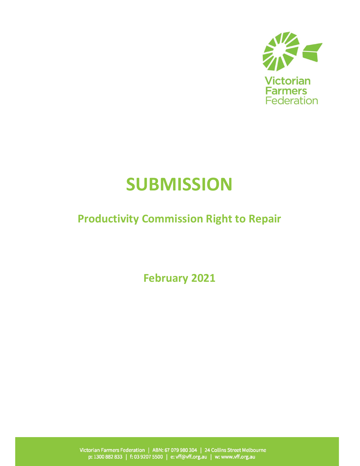

# **SUBMISSION**

## Productivity Commission Right to Repair

February 2021

Victorian Farmers Federation | ABN: 67 079 980 304 | 24 Collins Street Melbourne<br>p: 1300 882 833 | f: 03 9207 5500 | e: vff@vff.org.au | w: www.vff.org.au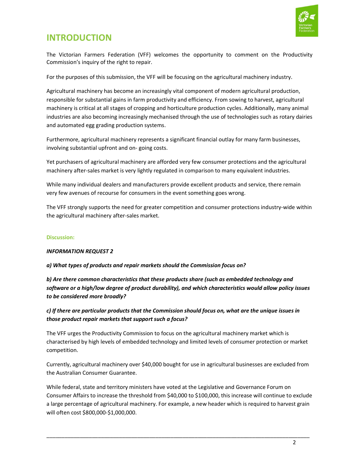

## INTRODUCTION

The Victorian Farmers Federation (VFF) welcomes the opportunity to comment on the Productivity Commission's inquiry of the right to repair.

For the purposes of this submission, the VFF will be focusing on the agricultural machinery industry.

Agricultural machinery has become an increasingly vital component of modern agricultural production, responsible for substantial gains in farm productivity and efficiency. From sowing to harvest, agricultural machinery is critical at all stages of cropping and horticulture production cycles. Additionally, many animal industries are also becoming increasingly mechanised through the use of technologies such as rotary dairies and automated egg grading production systems.

Furthermore, agricultural machinery represents a significant financial outlay for many farm businesses, involving substantial upfront and on- going costs.

Yet purchasers of agricultural machinery are afforded very few consumer protections and the agricultural machinery after-sales market is very lightly regulated in comparison to many equivalent industries.

While many individual dealers and manufacturers provide excellent products and service, there remain very few avenues of recourse for consumers in the event something goes wrong.

The VFF strongly supports the need for greater competition and consumer protections industry-wide within the agricultural machinery after-sales market.

#### Discussion:

#### INFORMATION REQUEST 2

a) What types of products and repair markets should the Commission focus on?

b) Are there common characteristics that these products share (such as embedded technology and software or a high/low degree of product durability), and which characteristics would allow policy issues to be considered more broadly?

c) If there are particular products that the Commission should focus on, what are the unique issues in those product repair markets that support such a focus?

The VFF urges the Productivity Commission to focus on the agricultural machinery market which is characterised by high levels of embedded technology and limited levels of consumer protection or market competition.

Currently, agricultural machinery over \$40,000 bought for use in agricultural businesses are excluded from the Australian Consumer Guarantee.

While federal, state and territory ministers have voted at the Legislative and Governance Forum on Consumer Affairs to increase the threshold from \$40,000 to \$100,000, this increase will continue to exclude a large percentage of agricultural machinery. For example, a new header which is required to harvest grain will often cost \$800,000-\$1,000,000.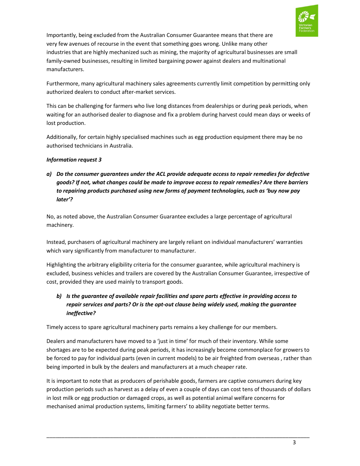

Importantly, being excluded from the Australian Consumer Guarantee means that there are very few avenues of recourse in the event that something goes wrong. Unlike many other industries that are highly mechanized such as mining, the majority of agricultural businesses are small family-owned businesses, resulting in limited bargaining power against dealers and multinational manufacturers.

Furthermore, many agricultural machinery sales agreements currently limit competition by permitting only authorized dealers to conduct after-market services.

This can be challenging for farmers who live long distances from dealerships or during peak periods, when waiting for an authorised dealer to diagnose and fix a problem during harvest could mean days or weeks of lost production.

Additionally, for certain highly specialised machines such as egg production equipment there may be no authorised technicians in Australia.

#### Information request 3

a) Do the consumer guarantees under the ACL provide adequate access to repair remedies for defective goods? If not, what changes could be made to improve access to repair remedies? Are there barriers to repairing products purchased using new forms of payment technologies, such as 'buy now pay later'?

No, as noted above, the Australian Consumer Guarantee excludes a large percentage of agricultural machinery.

Instead, purchasers of agricultural machinery are largely reliant on individual manufacturers' warranties which vary significantly from manufacturer to manufacturer.

Highlighting the arbitrary eligibility criteria for the consumer guarantee, while agricultural machinery is excluded, business vehicles and trailers are covered by the Australian Consumer Guarantee, irrespective of cost, provided they are used mainly to transport goods.

#### b) Is the guarantee of available repair facilities and spare parts effective in providing access to repair services and parts? Or is the opt-out clause being widely used, making the guarantee ineffective?

Timely access to spare agricultural machinery parts remains a key challenge for our members.

Dealers and manufacturers have moved to a 'just in time' for much of their inventory. While some shortages are to be expected during peak periods, it has increasingly become commonplace for growers to be forced to pay for individual parts (even in current models) to be air freighted from overseas , rather than being imported in bulk by the dealers and manufacturers at a much cheaper rate.

It is important to note that as producers of perishable goods, farmers are captive consumers during key production periods such as harvest as a delay of even a couple of days can cost tens of thousands of dollars in lost milk or egg production or damaged crops, as well as potential animal welfare concerns for mechanised animal production systems, limiting farmers' to ability negotiate better terms.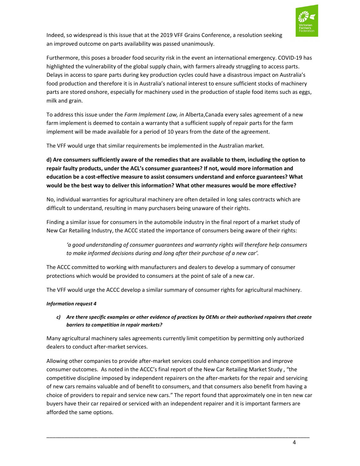

Indeed, so widespread is this issue that at the 2019 VFF Grains Conference, a resolution seeking an improved outcome on parts availability was passed unanimously.

Furthermore, this poses a broader food security risk in the event an international emergency. COVID-19 has highlighted the vulnerability of the global supply chain, with farmers already struggling to access parts. Delays in access to spare parts during key production cycles could have a disastrous impact on Australia's food production and therefore it is in Australia's national interest to ensure sufficient stocks of machinery parts are stored onshore, especially for machinery used in the production of staple food items such as eggs, milk and grain.

To address this issue under the Farm Implement Law, in Alberta, Canada every sales agreement of a new farm implement is deemed to contain a warranty that a sufficient supply of repair parts for the farm implement will be made available for a period of 10 years from the date of the agreement.

The VFF would urge that similar requirements be implemented in the Australian market.

d) Are consumers sufficiently aware of the remedies that are available to them, including the option to repair faulty products, under the ACL's consumer guarantees? If not, would more information and education be a cost-effective measure to assist consumers understand and enforce guarantees? What would be the best way to deliver this information? What other measures would be more effective?

No, individual warranties for agricultural machinery are often detailed in long sales contracts which are difficult to understand, resulting in many purchasers being unaware of their rights.

Finding a similar issue for consumers in the automobile industry in the final report of a market study of New Car Retailing Industry, the ACCC stated the importance of consumers being aware of their rights:

'a good understanding of consumer guarantees and warranty rights will therefore help consumers to make informed decisions during and long after their purchase of a new car'.

The ACCC committed to working with manufacturers and dealers to develop a summary of consumer protections which would be provided to consumers at the point of sale of a new car.

The VFF would urge the ACCC develop a similar summary of consumer rights for agricultural machinery.

#### Information request 4

c) Are there specific examples or other evidence of practices by OEMs or their authorised repairers that create barriers to competition in repair markets?

Many agricultural machinery sales agreements currently limit competition by permitting only authorized dealers to conduct after-market services.

Allowing other companies to provide after-market services could enhance competition and improve consumer outcomes. As noted in the ACCC's final report of the New Car Retailing Market Study , "the competitive discipline imposed by independent repairers on the after-markets for the repair and servicing of new cars remains valuable and of benefit to consumers, and that consumers also benefit from having a choice of providers to repair and service new cars." The report found that approximately one in ten new car buyers have their car repaired or serviced with an independent repairer and it is important farmers are afforded the same options.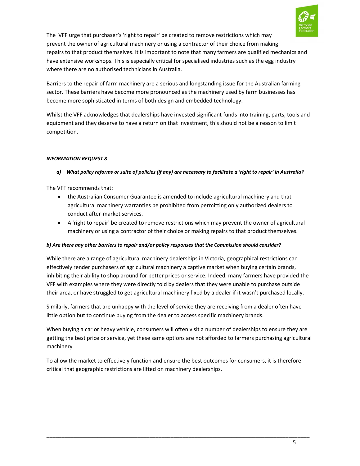

The VFF urge that purchaser's 'right to repair' be created to remove restrictions which may prevent the owner of agricultural machinery or using a contractor of their choice from making repairs to that product themselves. It is important to note that many farmers are qualified mechanics and have extensive workshops. This is especially critical for specialised industries such as the egg industry where there are no authorised technicians in Australia.

Barriers to the repair of farm machinery are a serious and longstanding issue for the Australian farming sector. These barriers have become more pronounced as the machinery used by farm businesses has become more sophisticated in terms of both design and embedded technology.

Whilst the VFF acknowledges that dealerships have invested significant funds into training, parts, tools and equipment and they deserve to have a return on that investment, this should not be a reason to limit competition.

#### INFORMATION REQUEST 8

#### a) What policy reforms or suite of policies (if any) are necessary to facilitate a 'right to repair' in Australia?

The VFF recommends that:

- the Australian Consumer Guarantee is amended to include agricultural machinery and that agricultural machinery warranties be prohibited from permitting only authorized dealers to conduct after-market services.
- A 'right to repair' be created to remove restrictions which may prevent the owner of agricultural machinery or using a contractor of their choice or making repairs to that product themselves.

#### b) Are there any other barriers to repair and/or policy responses that the Commission should consider?

While there are a range of agricultural machinery dealerships in Victoria, geographical restrictions can effectively render purchasers of agricultural machinery a captive market when buying certain brands, inhibiting their ability to shop around for better prices or service. Indeed, many farmers have provided the VFF with examples where they were directly told by dealers that they were unable to purchase outside their area, or have struggled to get agricultural machinery fixed by a dealer if it wasn't purchased locally.

Similarly, farmers that are unhappy with the level of service they are receiving from a dealer often have little option but to continue buying from the dealer to access specific machinery brands.

When buying a car or heavy vehicle, consumers will often visit a number of dealerships to ensure they are getting the best price or service, yet these same options are not afforded to farmers purchasing agricultural machinery.

To allow the market to effectively function and ensure the best outcomes for consumers, it is therefore critical that geographic restrictions are lifted on machinery dealerships.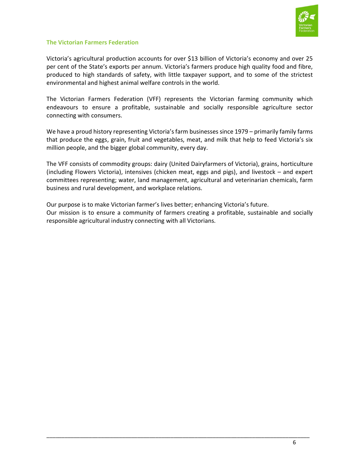

#### The Victorian Farmers Federation

Victoria's agricultural production accounts for over \$13 billion of Victoria's economy and over 25 per cent of the State's exports per annum. Victoria's farmers produce high quality food and fibre, produced to high standards of safety, with little taxpayer support, and to some of the strictest environmental and highest animal welfare controls in the world.

The Victorian Farmers Federation (VFF) represents the Victorian farming community which endeavours to ensure a profitable, sustainable and socially responsible agriculture sector connecting with consumers.

We have a proud history representing Victoria's farm businesses since 1979 – primarily family farms that produce the eggs, grain, fruit and vegetables, meat, and milk that help to feed Victoria's six million people, and the bigger global community, every day.

The VFF consists of commodity groups: dairy (United Dairyfarmers of Victoria), grains, horticulture (including Flowers Victoria), intensives (chicken meat, eggs and pigs), and livestock – and expert committees representing; water, land management, agricultural and veterinarian chemicals, farm business and rural development, and workplace relations.

Our purpose is to make Victorian farmer's lives better; enhancing Victoria's future. Our mission is to ensure a community of farmers creating a profitable, sustainable and socially responsible agricultural industry connecting with all Victorians.